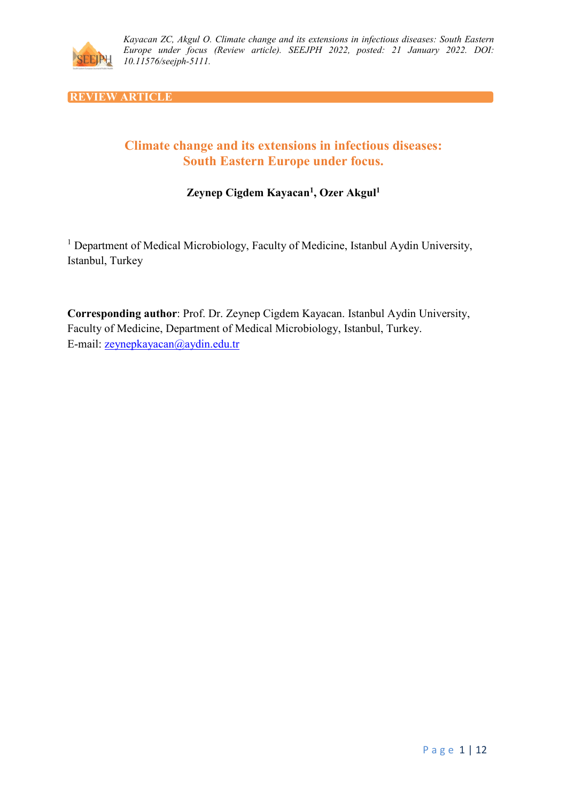

**REVIEW ARTICLE**

# **Climate change and its extensions in infectious diseases: South Eastern Europe under focus.**

# **Zeynep Cigdem Kayacan1, Ozer Akgul1**

<sup>1</sup> Department of Medical Microbiology, Faculty of Medicine, Istanbul Aydin University, Istanbul, Turkey

**Corresponding author**: Prof. Dr. Zeynep Cigdem Kayacan. Istanbul Aydin University, Faculty of Medicine, Department of Medical Microbiology, Istanbul, Turkey. E-mail: [zeynepkayacan@aydin.edu.tr](mailto:zeynepkayacan@aydin.edu.tr)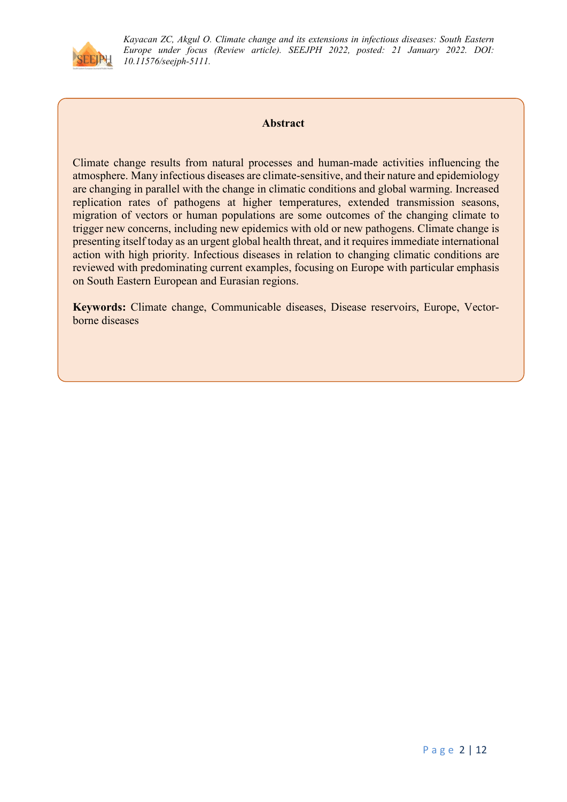

### **Abstract**

Climate change results from natural processes and human-made activities influencing the atmosphere. Many infectious diseases are climate-sensitive, and their nature and epidemiology are changing in parallel with the change in climatic conditions and global warming. Increased replication rates of pathogens at higher temperatures, extended transmission seasons, migration of vectors or human populations are some outcomes of the changing climate to trigger new concerns, including new epidemics with old or new pathogens. Climate change is presenting itself today as an urgent global health threat, and it requires immediate international action with high priority. Infectious diseases in relation to changing climatic conditions are reviewed with predominating current examples, focusing on Europe with particular emphasis on South Eastern European and Eurasian regions.

**Keywords:** Climate change, Communicable diseases, Disease reservoirs, Europe, Vectorborne diseases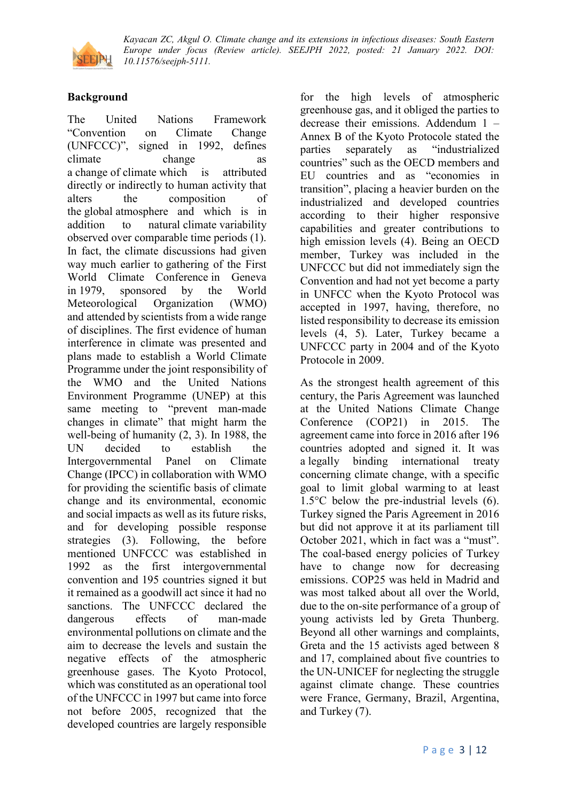

# **Background**

The United Nations Framework "Convention on Climate Change (UNFCCC)", signed in 1992, defines climate change as a change of climate which is attributed directly or indirectly to human activity that alters the composition of the global atmosphere and which is in addition to natural climate variability observed over comparable time periods (1). In fact, the climate discussions had given way much earlier to gathering of the First World Climate Conference in Geneva in 1979, sponsored by the World Meteorological Organization (WMO) and attended by scientists from a wide range of disciplines. The first evidence of human interference in climate was presented and plans made to establish a World Climate Programme under the joint responsibility of the WMO and the United Nations Environment Programme (UNEP) at this same meeting to "prevent man-made changes in climate" that might harm the well-being of humanity (2, 3). In 1988, the UN decided to establish the Intergovernmental Panel on Climate Change (IPCC) in collaboration with WMO for providing the scientific basis of climate change and its environmental, economic and social impacts as well as its future risks, and for developing possible response strategies (3). Following, the before mentioned UNFCCC was established in 1992 as the first intergovernmental convention and 195 countries signed it but it remained as a goodwill act since it had no sanctions. The UNFCCC declared the dangerous effects of man-made environmental pollutions on climate and the aim to decrease the levels and sustain the negative effects of the atmospheric greenhouse gases. The Kyoto Protocol, which was constituted as an operational tool of the UNFCCC in 1997 but came into force not before 2005, recognized that the developed countries are largely responsible

for the high levels of atmospheric greenhouse gas, and it obliged the parties to decrease their emissions. Addendum 1 – Annex B of the Kyoto Protocole stated the parties separately as "industrialized countries" such as the OECD members and EU countries and as "economies in transition", placing a heavier burden on the industrialized and developed countries according to their higher responsive capabilities and greater contributions to high emission levels (4). Being an OECD member, Turkey was included in the UNFCCC but did not immediately sign the Convention and had not yet become a party in UNFCC when the Kyoto Protocol was accepted in 1997, having, therefore, no listed responsibility to decrease its emission levels (4, 5). Later, Turkey became a UNFCCC party in 2004 and of the Kyoto Protocole in 2009.

As the strongest health agreement of this century, the Paris Agreement was launched at the United Nations Climate Change Conference (COP21) in 2015. The agreement came into force in 2016 after 196 countries adopted and signed it. It was a legally binding international treaty concerning climate change, with a specific goal to limit global warming to at least 1.5°C below the pre-industrial levels (6). Turkey signed the Paris Agreement in 2016 but did not approve it at its parliament till October 2021, which in fact was a "must". The coal-based energy policies of Turkey have to change now for decreasing emissions. COP25 was held in Madrid and was most talked about all over the World, due to the on-site performance of a group of young activists led by Greta Thunberg. Beyond all other warnings and complaints, Greta and the 15 activists aged between 8 and 17, complained about five countries to the UN-UNICEF for neglecting the struggle against climate change. These countries were France, Germany, Brazil, Argentina, and Turkey (7).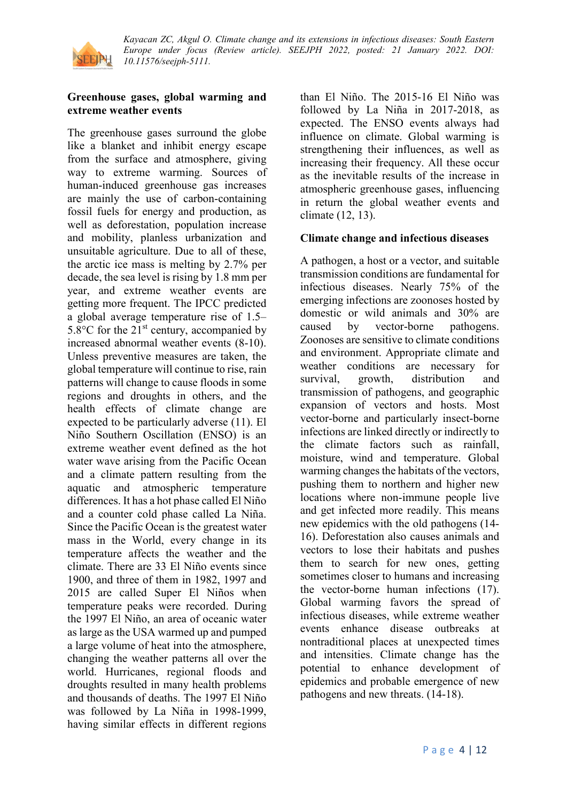

### **Greenhouse gases, global warming and extreme weather events**

The greenhouse gases surround the globe like a blanket and inhibit energy escape from the surface and atmosphere, giving way to extreme warming. Sources of human-induced greenhouse gas increases are mainly the use of carbon-containing fossil fuels for energy and production, as well as deforestation, population increase and mobility, planless urbanization and unsuitable agriculture. Due to all of these, the arctic ice mass is melting by 2.7% per decade, the sea level is rising by 1.8 mm per year, and extreme weather events are getting more frequent. The IPCC predicted a global average temperature rise of 1.5– 5.8 $\rm{^{\circ}C}$  for the 21 $\rm{^{\circ}t}$  century, accompanied by increased abnormal weather events (8-10). Unless preventive measures are taken, the global temperature will continue to rise, rain patterns will change to cause floods in some regions and droughts in others, and the health effects of climate change are expected to be particularly adverse (11). El Niño Southern Oscillation (ENSO) is an extreme weather event defined as the hot water wave arising from the Pacific Ocean and a climate pattern resulting from the aquatic and atmospheric temperature differences. It has a hot phase called El Niño and a counter cold phase called La Niña. Since the Pacific Ocean is the greatest water mass in the World, every change in its temperature affects the weather and the climate. There are 33 El Niño events since 1900, and three of them in 1982, 1997 and 2015 are called Super El Niños when temperature peaks were recorded. During the 1997 El Niño, an area of oceanic water as large as the USA warmed up and pumped a large volume of heat into the atmosphere, changing the weather patterns all over the world. Hurricanes, regional floods and droughts resulted in many health problems and thousands of deaths. The 1997 El Niño was followed by La Niña in 1998-1999, having similar effects in different regions

than El Niño. The 2015-16 El Niño was followed by La Niña in 2017-2018, as expected. The ENSO events always had influence on climate. Global warming is strengthening their influences, as well as increasing their frequency. All these occur as the inevitable results of the increase in atmospheric greenhouse gases, influencing in return the global weather events and climate (12, 13).

### **Climate change and infectious diseases**

A pathogen, a host or a vector, and suitable transmission conditions are fundamental for infectious diseases. Nearly 75% of the emerging infections are zoonoses hosted by domestic or wild animals and 30% are caused by vector-borne pathogens. Zoonoses are sensitive to climate conditions and environment. Appropriate climate and weather conditions are necessary for survival, growth, distribution and transmission of pathogens, and geographic expansion of vectors and hosts. Most vector-borne and particularly insect-borne infections are linked directly or indirectly to the climate factors such as rainfall, moisture, wind and temperature. Global warming changes the habitats of the vectors, pushing them to northern and higher new locations where non-immune people live and get infected more readily. This means new epidemics with the old pathogens (14- 16). Deforestation also causes animals and vectors to lose their habitats and pushes them to search for new ones, getting sometimes closer to humans and increasing the vector-borne human infections (17). Global warming favors the spread of infectious diseases, while extreme weather events enhance disease outbreaks at nontraditional places at unexpected times and intensities. Climate change has the potential to enhance development of epidemics and probable emergence of new pathogens and new threats. (14-18).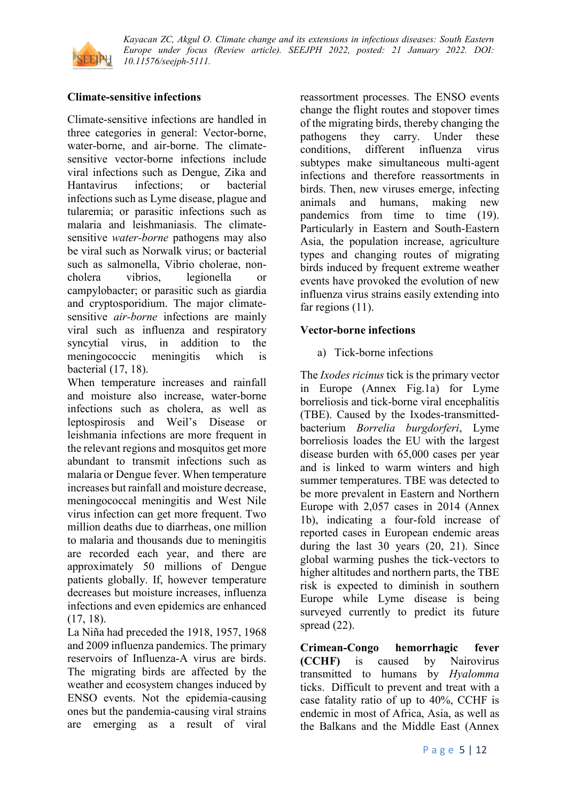

# **Climate-sensitive infections**

Climate-sensitive infections are handled in three categories in general: Vector-borne, water-borne, and air-borne. The climatesensitive vector-borne infections include viral infections such as Dengue, Zika and Hantavirus infections; or bacterial infections such as Lyme disease, plague and tularemia; or parasitic infections such as malaria and leishmaniasis. The climatesensitive *water-borne* pathogens may also be viral such as Norwalk virus; or bacterial such as salmonella, Vibrio cholerae, noncholera vibrios, legionella or campylobacter; or parasitic such as giardia and cryptosporidium. The major climatesensitive *air-borne* infections are mainly viral such as influenza and respiratory syncytial virus, in addition to the meningococcic meningitis which is bacterial (17, 18).

When temperature increases and rainfall and moisture also increase, water-borne infections such as cholera, as well as leptospirosis and Weil's Disease or leishmania infections are more frequent in the relevant regions and mosquitos get more abundant to transmit infections such as malaria or Dengue fever. When temperature increases but rainfall and moisture decrease, meningococcal meningitis and West Nile virus infection can get more frequent. Two million deaths due to diarrheas, one million to malaria and thousands due to meningitis are recorded each year, and there are approximately 50 millions of Dengue patients globally. If, however temperature decreases but moisture increases, influenza infections and even epidemics are enhanced (17, 18).

La Niña had preceded the 1918, 1957, 1968 and 2009 influenza pandemics. The primary reservoirs of Influenza-A virus are birds. The migrating birds are affected by the weather and ecosystem changes induced by ENSO events. Not the epidemia-causing ones but the pandemia-causing viral strains are emerging as a result of viral

reassortment processes. The ENSO events change the flight routes and stopover times of the migrating birds, thereby changing the pathogens they carry. Under these conditions, different influenza virus subtypes make simultaneous multi-agent infections and therefore reassortments in birds. Then, new viruses emerge, infecting animals and humans, making new pandemics from time to time (19). Particularly in Eastern and South-Eastern Asia, the population increase, agriculture types and changing routes of migrating birds induced by frequent extreme weather events have provoked the evolution of new influenza virus strains easily extending into far regions  $(11)$ .

### **Vector-borne infections**

### a) Tick-borne infections

The *Ixodes ricinus* tick is the primary vector in Europe (Annex Fig.1a) for Lyme borreliosis and tick-borne viral encephalitis (TBE). Caused by the Ixodes-transmittedbacterium *Borrelia burgdorferi*, Lyme borreliosis loades the EU with the largest disease burden with 65,000 cases per year and is linked to warm winters and high summer temperatures. TBE was detected to be more prevalent in Eastern and Northern Europe with 2,057 cases in 2014 (Annex 1b), indicating a four-fold increase of reported cases in European endemic areas during the last 30 years (20, 21). Since global warming pushes the tick-vectors to higher altitudes and northern parts, the TBE risk is expected to diminish in southern Europe while Lyme disease is being surveyed currently to predict its future spread  $(22)$ .

**Crimean-Congo hemorrhagic fever (CCHF)** is caused by Nairovirus transmitted to humans by *Hyalomma* ticks. Difficult to prevent and treat with a case fatality ratio of up to 40%, CCHF is endemic in most of Africa, Asia, as well as the Balkans and the Middle East (Annex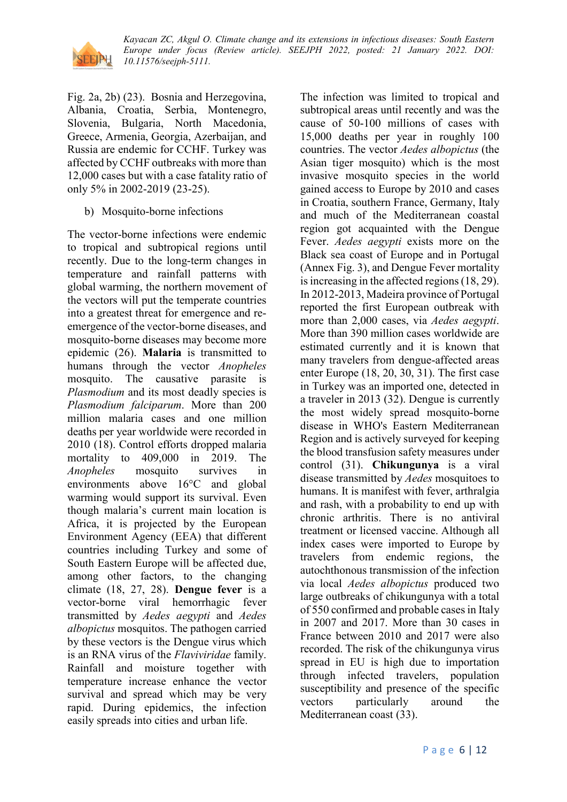

Fig. 2a, 2b) (23). Bosnia and Herzegovina, Albania, Croatia, Serbia, Montenegro, Slovenia, Bulgaria, North Macedonia, Greece, Armenia, Georgia, Azerbaijan, and Russia are endemic for CCHF. Turkey was affected by CCHF outbreaks with more than 12,000 cases but with a case fatality ratio of only 5% in 2002-2019 (23-25).

b) Mosquito-borne infections

The vector-borne infections were endemic to tropical and subtropical regions until recently. Due to the long-term changes in temperature and rainfall patterns with global warming, the northern movement of the vectors will put the temperate countries into a greatest threat for emergence and reemergence of the vector-borne diseases, and mosquito-borne diseases may become more epidemic (26). **Malaria** is transmitted to humans through the vector *Anopheles* mosquito. The causative parasite is *Plasmodium* and its most deadly species is *Plasmodium falciparum*. More than 200 million malaria cases and one million deaths per year worldwide were recorded in 2010 (18). Control efforts dropped malaria mortality to 409,000 in 2019. The *Anopheles* mosquito survives in environments above 16°C and global warming would support its survival. Even though malaria's current main location is Africa, it is projected by the European Environment Agency (EEA) that different countries including Turkey and some of South Eastern Europe will be affected due, among other factors, to the changing climate (18, 27, 28). **Dengue fever** is a vector-borne viral hemorrhagic fever transmitted by *Aedes aegypti* and *Aedes albopictus* mosquitos. The pathogen carried by these vectors is the Dengue virus which is an RNA virus of the *Flaviviridae* family. Rainfall and moisture together with temperature increase enhance the vector survival and spread which may be very rapid. During epidemics, the infection easily spreads into cities and urban life.

The infection was limited to tropical and subtropical areas until recently and was the cause of 50-100 millions of cases with 15,000 deaths per year in roughly 100 countries. The vector *Aedes albopictus* (the Asian tiger mosquito) which is the most invasive mosquito species in the world gained access to Europe by 2010 and cases in Croatia, southern France, Germany, Italy and much of the Mediterranean coastal region got acquainted with the Dengue Fever. *Aedes aegypti* exists more on the Black sea coast of Europe and in Portugal (Annex Fig. 3), and Dengue Fever mortality is increasing in the affected regions (18, 29). In 2012-2013, Madeira province of Portugal reported the first European outbreak with more than 2,000 cases, via *Aedes aegypti*. More than 390 million cases worldwide are estimated currently and it is known that many travelers from dengue-affected areas enter Europe (18, 20, 30, 31). The first case in Turkey was an imported one, detected in a traveler in 2013 (32). Dengue is currently the most widely spread mosquito-borne disease in WHO's Eastern Mediterranean Region and is actively surveyed for keeping the blood transfusion safety measures under control (31). **Chikungunya** is a viral disease transmitted by *Aedes* mosquitoes to humans. It is manifest with fever, arthralgia and rash, with a probability to end up with chronic arthritis. There is no antiviral treatment or licensed vaccine. Although all index cases were imported to Europe by travelers from endemic regions, the autochthonous transmission of the infection via local *Aedes albopictus* produced two large outbreaks of chikungunya with a total of 550 confirmed and probable cases in Italy in 2007 and 2017. More than 30 cases in France between 2010 and 2017 were also recorded. The risk of the chikungunya virus spread in EU is high due to importation through infected travelers, population susceptibility and presence of the specific vectors particularly around the Mediterranean coast (33).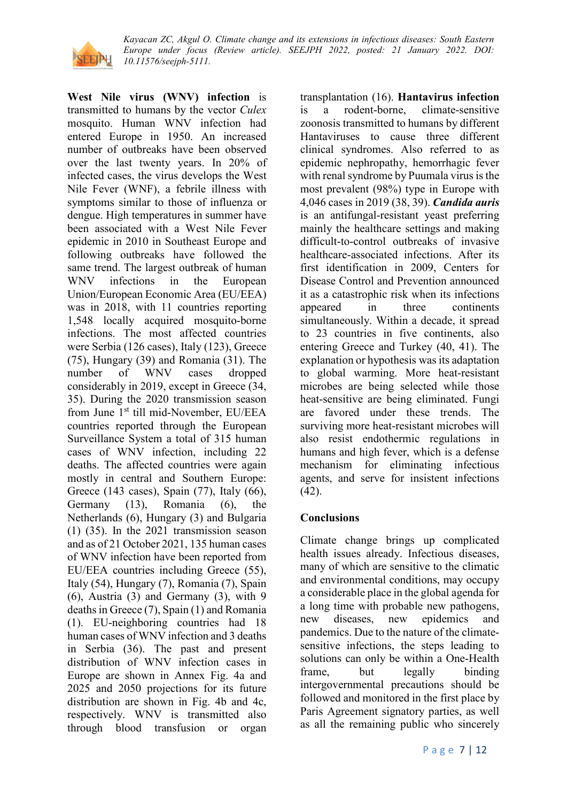

**West Nile virus (WNV) infection** is transmitted to humans by the vector *Culex*  mosquito. Human WNV infection had entered Europe in 1950. An increased number of outbreaks have been observed over the last twenty years. In 20% of infected cases, the virus develops the West Nile Fever (WNF), a febrile illness with symptoms similar to those of influenza or dengue. High temperatures in summer have been associated with a West Nile Fever epidemic in 2010 in Southeast Europe and following outbreaks have followed the same trend. The largest outbreak of human WNV infections in the European Union/European Economic Area (EU/EEA) was in 2018, with 11 countries reporting 1,548 locally acquired mosquito-borne infections. The most affected countries were Serbia (126 cases), Italy (123), Greece (75), Hungary (39) and Romania (31). The number of WNV cases dropped considerably in 2019, except in Greece (34, 35). During the 2020 transmission season from June 1<sup>st</sup> till mid-November, EU/EEA countries reported through the European Surveillance System a total of 315 human cases of WNV infection, including 22 deaths. The affected countries were again mostly in central and Southern Europe: Greece (143 cases), Spain (77), Italy (66), Germany (13), Romania (6), the Netherlands (6), Hungary (3) and Bulgaria (1) (35). In the 2021 transmission season and as of 21 October 2021, 135 human cases of WNV infection have been reported from EU/EEA countries including Greece (55), Italy (54), Hungary (7), Romania (7), Spain (6), Austria (3) and Germany (3), with 9 deaths in Greece (7), Spain (1) and Romania (1). EU-neighboring countries had 18 human cases of WNV infection and 3 deaths in Serbia (36). The past and present distribution of WNV infection cases in Europe are shown in Annex Fig. 4a and 2025 and 2050 projections for its future distribution are shown in Fig. 4b and 4c, respectively. WNV is transmitted also through blood transfusion or organ

transplantation (16). **Hantavirus infection** is a rodent-borne, climate-sensitive zoonosis transmitted to humans by different Hantaviruses to cause three different clinical syndromes. Also referred to as epidemic nephropathy, hemorrhagic fever with renal syndrome by Puumala virus is the most prevalent (98%) type in Europe with 4,046 cases in 2019 (38, 39). *Candida auris* is an antifungal-resistant yeast preferring mainly the healthcare settings and making difficult-to-control outbreaks of invasive healthcare-associated infections. After its first identification in 2009, Centers for Disease Control and Prevention announced it as a catastrophic risk when its infections appeared in three continents simultaneously. Within a decade, it spread to 23 countries in five continents, also entering Greece and Turkey (40, 41). The explanation or hypothesis was its adaptation to global warming. More heat-resistant microbes are being selected while those heat-sensitive are being eliminated. Fungi are favored under these trends. The surviving more heat-resistant microbes will also resist endothermic regulations in humans and high fever, which is a defense mechanism for eliminating infectious agents, and serve for insistent infections (42).

### **Conclusions**

Climate change brings up complicated health issues already. Infectious diseases, many of which are sensitive to the climatic and environmental conditions, may occupy a considerable place in the global agenda for a long time with probable new pathogens, new diseases, new epidemics and pandemics. Due to the nature of the climatesensitive infections, the steps leading to solutions can only be within a One-Health frame, but legally binding intergovernmental precautions should be followed and monitored in the first place by Paris Agreement signatory parties, as well as all the remaining public who sincerely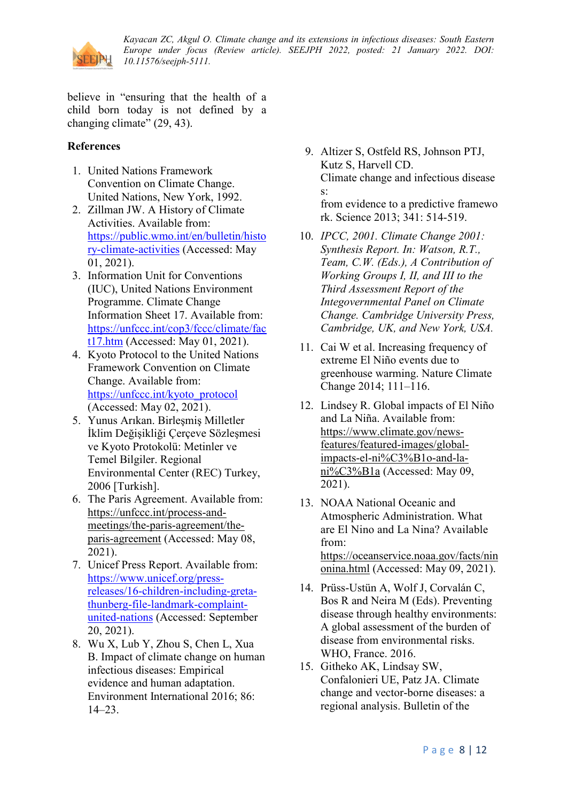

believe in "ensuring that the health of a child born today is not defined by a changing climate" (29, 43).

### **References**

- 1. United Nations Framework Convention on Climate Change. United Nations, New York, 1992.
- 2. Zillman JW. A History of Climate Activities. Available from: [https://public.wmo.int/en/bulletin/histo](https://public.wmo.int/en/bulletin/history-climate-activities) [ry-climate-activities](https://public.wmo.int/en/bulletin/history-climate-activities) (Accessed: May 01, 2021).
- 3. Information Unit for Conventions (IUC), United Nations Environment Programme. Climate Change Information Sheet 17. Available from: [https://unfccc.int/cop3/fccc/climate/fac](https://unfccc.int/cop3/fccc/climate/fact17.htm) [t17.htm](https://unfccc.int/cop3/fccc/climate/fact17.htm) (Accessed: May 01, 2021).
- 4. Kyoto Protocol to the United Nations Framework Convention on Climate Change. Available from: [https://unfccc.int/kyoto\\_protocol](https://unfccc.int/kyoto_protocol) (Accessed: May 02, 2021).
- 5. Yunus Arıkan. Birleşmiş Milletler İklim Değişikliği Çerçeve Sözleşmesi ve Kyoto Protokolü: Metinler ve Temel Bilgiler. Regional Environmental Center (REC) Turkey, 2006 [Turkish].
- 6. The Paris Agreement. Available from: [https://unfccc.int/process-and](https://unfccc.int/process-and-meetings/the-paris-agreement/the-paris-agreement)[meetings/the-paris-agreement/the](https://unfccc.int/process-and-meetings/the-paris-agreement/the-paris-agreement)[paris-agreement](https://unfccc.int/process-and-meetings/the-paris-agreement/the-paris-agreement) (Accessed: May 08, 2021).
- 7. Unicef Press Report. Available from: [https://www.unicef.org/press](https://www.unicef.org/press-releases/16-children-including-greta-thunberg-file-landmark-complaint-united-nations)[releases/16-children-including-greta](https://www.unicef.org/press-releases/16-children-including-greta-thunberg-file-landmark-complaint-united-nations)[thunberg-file-landmark-complaint](https://www.unicef.org/press-releases/16-children-including-greta-thunberg-file-landmark-complaint-united-nations)[united-nations](https://www.unicef.org/press-releases/16-children-including-greta-thunberg-file-landmark-complaint-united-nations) (Accessed: September 20, 2021).
- 8. Wu X, Lub Y, Zhou S, Chen L, Xua B. Impact of climate change on human infectious diseases: Empirical evidence and human adaptation. Environment International 2016; 86: 14–23.

9. Altizer S, Ostfeld RS, Johnson PTJ, Kutz S, Harvell CD. Climate change and infectious disease s:

from evidence to a predictive framewo rk. Science 2013; 341: 514-519.

- 10. *IPCC, 2001. Climate Change 2001: Synthesis Report. In: Watson, R.T., Team, C.W. (Eds.), A Contribution of Working Groups I, II, and III to the Third Assessment Report of the Integovernmental Panel on Climate Change. Cambridge University Press, Cambridge, UK, and New York, USA.*
- 11. Cai W et al. Increasing frequency of extreme El Niño events due to greenhouse warming. Nature Climate Change 2014; 111–116.
- 12. Lindsey R. Global impacts of El Niño and La Niña. Available from: [https://www.climate.gov/news](https://www.climate.gov/news-features/featured-images/global-impacts-el-ni%C3%B1o-and-la-ni%C3%B1a)[features/featured-images/global](https://www.climate.gov/news-features/featured-images/global-impacts-el-ni%C3%B1o-and-la-ni%C3%B1a)[impacts-el-ni%C3%B1o-and-la](https://www.climate.gov/news-features/featured-images/global-impacts-el-ni%C3%B1o-and-la-ni%C3%B1a)[ni%C3%B1a](https://www.climate.gov/news-features/featured-images/global-impacts-el-ni%C3%B1o-and-la-ni%C3%B1a) (Accessed: May 09, 2021).
- 13. NOAA National Oceanic and Atmospheric Administration. What are El Nino and La Nina? Available from: [https://oceanservice.noaa.gov/facts/nin](https://oceanservice.noaa.gov/facts/ninonina.html) [onina.html](https://oceanservice.noaa.gov/facts/ninonina.html) (Accessed: May 09, 2021).
- 14. Prüss-Ustün A, Wolf J, Corvalán C, Bos R and Neira M (Eds). Preventing disease through healthy environments: A global assessment of the burden of disease from environmental risks. WHO, France. 2016.
- 15. Githeko AK, Lindsay SW, Confalonieri UE, Patz JA. Climate change and vector-borne diseases: a regional analysis. Bulletin of the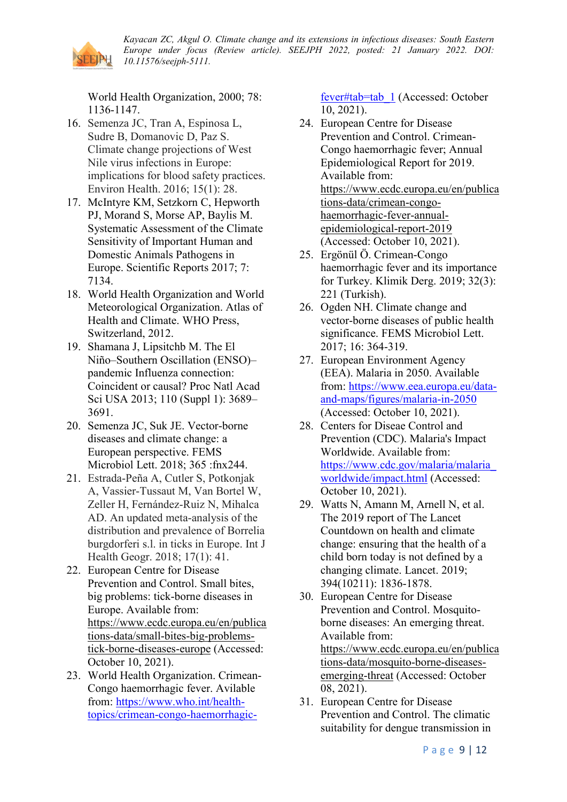

World Health Organization, 2000; 78: 1136-1147.

- 16. Semenza JC, Tran A, Espinosa L, Sudre B, Domanovic D, Paz S. Climate change projections of West Nile virus infections in Europe: implications for blood safety practices. Environ Health. 2016; 15(1): 28.
- 17. McIntyre KM, Setzkorn C, Hepworth PJ, Morand S, Morse AP, Baylis M. Systematic Assessment of the Climate Sensitivity of Important Human and Domestic Animals Pathogens in Europe. Scientific Reports 2017; 7: 7134.
- 18. World Health Organization and World Meteorological Organization. Atlas of Health and Climate. WHO Press, Switzerland, 2012.
- 19. Shamana J, Lipsitchb M. The El Niño–Southern Oscillation (ENSO)– pandemic Influenza connection: Coincident or causal? Proc Natl Acad Sci USA 2013; 110 (Suppl 1): 3689– 3691.
- 20. Semenza JC, Suk JE. Vector-borne diseases and climate change: a European perspective. FEMS Microbiol Lett. 2018; 365 :fnx244.
- 21. Estrada-Peña A, Cutler S, Potkonjak A, Vassier-Tussaut M, Van Bortel W, Zeller H, Fernández-Ruiz N, Mihalca AD. An updated meta-analysis of the distribution and prevalence of Borrelia burgdorferi s.l. in ticks in Europe. Int J Health Geogr. 2018; 17(1): 41.
- 22. European Centre for Disease Prevention and Control. Small bites, big problems: tick-borne diseases in Europe. Available from: [https://www.ecdc.europa.eu/en/publica](https://www.ecdc.europa.eu/en/publications-data/small-bites-big-problems-tick-borne-diseases-europe) [tions-data/small-bites-big-problems](https://www.ecdc.europa.eu/en/publications-data/small-bites-big-problems-tick-borne-diseases-europe)[tick-borne-diseases-europe](https://www.ecdc.europa.eu/en/publications-data/small-bites-big-problems-tick-borne-diseases-europe) (Accessed: October 10, 2021).
- 23. World Health Organization. Crimean-Congo haemorrhagic fever. Avilable from: [https://www.who.int/health](https://www.who.int/health-topics/crimean-congo-haemorrhagic-fever#tab=tab_1)[topics/crimean-congo-haemorrhagic-](https://www.who.int/health-topics/crimean-congo-haemorrhagic-fever#tab=tab_1)

[fever#tab=tab\\_1](https://www.who.int/health-topics/crimean-congo-haemorrhagic-fever#tab=tab_1) (Accessed: October 10, 2021).

- 24. European Centre for Disease Prevention and Control. Crimean-Congo haemorrhagic fever; Annual Epidemiological Report for 2019. Available from: [https://www.ecdc.europa.eu/en/publica](https://www.ecdc.europa.eu/en/publications-data/crimean-congo-haemorrhagic-fever-annual-epidemiological-report-2019) [tions-data/crimean-congo](https://www.ecdc.europa.eu/en/publications-data/crimean-congo-haemorrhagic-fever-annual-epidemiological-report-2019)[haemorrhagic-fever-annual](https://www.ecdc.europa.eu/en/publications-data/crimean-congo-haemorrhagic-fever-annual-epidemiological-report-2019)[epidemiological-report-2019](https://www.ecdc.europa.eu/en/publications-data/crimean-congo-haemorrhagic-fever-annual-epidemiological-report-2019) (Accessed: October 10, 2021).
- 25. Ergönül Ö. Crimean-Congo haemorrhagic fever and its importance for Turkey. Klimik Derg. 2019; 32(3): 221 (Turkish).
- 26. Ogden NH. Climate change and vector-borne diseases of public health significance. FEMS Microbiol Lett. 2017; 16: 364-319.
- 27. European Environment Agency (EEA). Malaria in 2050. Available from: [https://www.eea.europa.eu/data](https://www.eea.europa.eu/data-and-maps/figures/malaria-in-2050)[and-maps/figures/malaria-in-2050](https://www.eea.europa.eu/data-and-maps/figures/malaria-in-2050) (Accessed: October 10, 2021).
- 28. Centers for Diseae Control and Prevention (CDC). Malaria's Impact Worldwide. Available from: [https://www.cdc.gov/malaria/malaria\\_](https://www.cdc.gov/malaria/malaria_worldwide/impact.html) [worldwide/impact.html](https://www.cdc.gov/malaria/malaria_worldwide/impact.html) (Accessed: October 10, 2021).
- 29. Watts N, Amann M, Arnell N, et al. The 2019 report of The Lancet Countdown on health and climate change: ensuring that the health of a child born today is not defined by a changing climate. Lancet. 2019; 394(10211): 1836-1878.
- 30. European Centre for Disease Prevention and Control. Mosquitoborne diseases: An emerging threat. Available from: [https://www.ecdc.europa.eu/en/publica](https://www.ecdc.europa.eu/en/publications-data/mosquito-borne-diseases-emerging-threat) [tions-data/mosquito-borne-diseases](https://www.ecdc.europa.eu/en/publications-data/mosquito-borne-diseases-emerging-threat)[emerging-threat](https://www.ecdc.europa.eu/en/publications-data/mosquito-borne-diseases-emerging-threat) (Accessed: October 08, 2021).
- 31. European Centre for Disease Prevention and Control. The climatic suitability for dengue transmission in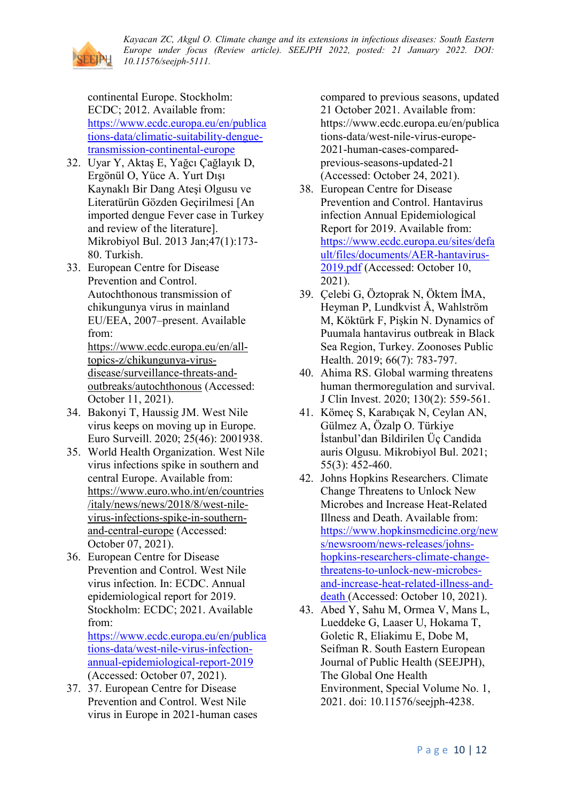

continental Europe. Stockholm: ECDC; 2012. Available from: [https://www.ecdc.europa.eu/en/publica](https://www.ecdc.europa.eu/en/publications-data/climatic-suitability-dengue-transmission-continental-europe) [tions-data/climatic-suitability-dengue](https://www.ecdc.europa.eu/en/publications-data/climatic-suitability-dengue-transmission-continental-europe)[transmission-continental-europe](https://www.ecdc.europa.eu/en/publications-data/climatic-suitability-dengue-transmission-continental-europe)

- 32. Uyar Y, Aktaş E, Yağcı Çağlayık D, Ergönül O, Yüce A. Yurt Dışı Kaynaklı Bir Dang Ateşi Olgusu ve Literatürün Gözden Geçirilmesi [An imported dengue Fever case in Turkey and review of the literature]. Mikrobiyol Bul. 2013 Jan;47(1):173- 80. Turkish.
- 33. European Centre for Disease Prevention and Control. Autochthonous transmission of chikungunya virus in mainland EU/EEA, 2007–present. Available from:

[https://www.ecdc.europa.eu/en/all](https://www.ecdc.europa.eu/en/all-topics-z/chikungunya-virus-disease/surveillance-threats-and-outbreaks/autochthonous)[topics-z/chikungunya-virus](https://www.ecdc.europa.eu/en/all-topics-z/chikungunya-virus-disease/surveillance-threats-and-outbreaks/autochthonous)[disease/surveillance-threats-and](https://www.ecdc.europa.eu/en/all-topics-z/chikungunya-virus-disease/surveillance-threats-and-outbreaks/autochthonous)[outbreaks/autochthonous](https://www.ecdc.europa.eu/en/all-topics-z/chikungunya-virus-disease/surveillance-threats-and-outbreaks/autochthonous) (Accessed: October 11, 2021).

- 34. Bakonyi T, Haussig JM. West Nile virus keeps on moving up in Europe. Euro Surveill. 2020; 25(46): 2001938.
- 35. World Health Organization. West Nile virus infections spike in southern and central Europe. Available from: [https://www.euro.who.int/en/countries](https://www.euro.who.int/en/countries/italy/news/news/2018/8/west-nile-virus-infections-spike-in-southern-and-central-europe) [/italy/news/news/2018/8/west-nile](https://www.euro.who.int/en/countries/italy/news/news/2018/8/west-nile-virus-infections-spike-in-southern-and-central-europe)[virus-infections-spike-in-southern](https://www.euro.who.int/en/countries/italy/news/news/2018/8/west-nile-virus-infections-spike-in-southern-and-central-europe)[and-central-europe](https://www.euro.who.int/en/countries/italy/news/news/2018/8/west-nile-virus-infections-spike-in-southern-and-central-europe) (Accessed: October 07, 2021).
- 36. European Centre for Disease Prevention and Control. West Nile virus infection. In: ECDC. Annual epidemiological report for 2019. Stockholm: ECDC; 2021. Available from:

[https://www.ecdc.europa.eu/en/publica](https://www.ecdc.europa.eu/en/publications-data/west-nile-virus-infection-annual-epidemiological-report-2019) [tions-data/west-nile-virus-infection](https://www.ecdc.europa.eu/en/publications-data/west-nile-virus-infection-annual-epidemiological-report-2019)[annual-epidemiological-report-2019](https://www.ecdc.europa.eu/en/publications-data/west-nile-virus-infection-annual-epidemiological-report-2019) (Accessed: October 07, 2021).

37. 37. European Centre for Disease Prevention and Control. West Nile virus in Europe in 2021-human cases compared to previous seasons, updated 21 October 2021. Available from: https://www.ecdc.europa.eu/en/publica tions-data/west-nile-virus-europe-2021-human-cases-comparedprevious-seasons-updated-21 (Accessed: October 24, 2021).

- 38. European Centre for Disease Prevention and Control. Hantavirus infection Annual Epidemiological Report for 2019. Available from: [https://www.ecdc.europa.eu/sites/defa](https://www.ecdc.europa.eu/sites/default/files/documents/AER-hantavirus-2019.pdf) [ult/files/documents/AER-hantavirus-](https://www.ecdc.europa.eu/sites/default/files/documents/AER-hantavirus-2019.pdf)[2019.pdf](https://www.ecdc.europa.eu/sites/default/files/documents/AER-hantavirus-2019.pdf) (Accessed: October 10, 2021).
- 39. Çelebi G, Öztoprak N, Öktem İMA, Heyman P, Lundkvist Å, Wahlström M, Köktürk F, Pişkin N. Dynamics of Puumala hantavirus outbreak in Black Sea Region, Turkey. Zoonoses Public Health. 2019; 66(7): 783-797.
- 40. Ahima RS. Global warming threatens human thermoregulation and survival. J Clin Invest. 2020; 130(2): 559-561.
- 41. Kömeç S, Karabıçak N, Ceylan AN, Gülmez A, Özalp O. Türkiye İstanbul'dan Bildirilen Üç Candida auris Olgusu. Mikrobiyol Bul. 2021; 55(3): 452-460.
- 42. Johns Hopkins Researchers. Climate Change Threatens to Unlock New Microbes and Increase Heat-Related Illness and Death. Available from: [https://www.hopkinsmedicine.org/new](https://www.hopkinsmedicine.org/news/newsroom/news-releases/johns-hopkins-researchers-climate-change-threatens-to-unlock-new-microbes-and-increase-heat-related-illness-and-death) [s/newsroom/news-releases/johns](https://www.hopkinsmedicine.org/news/newsroom/news-releases/johns-hopkins-researchers-climate-change-threatens-to-unlock-new-microbes-and-increase-heat-related-illness-and-death)[hopkins-researchers-climate-change](https://www.hopkinsmedicine.org/news/newsroom/news-releases/johns-hopkins-researchers-climate-change-threatens-to-unlock-new-microbes-and-increase-heat-related-illness-and-death)[threatens-to-unlock-new-microbes](https://www.hopkinsmedicine.org/news/newsroom/news-releases/johns-hopkins-researchers-climate-change-threatens-to-unlock-new-microbes-and-increase-heat-related-illness-and-death)[and-increase-heat-related-illness-and](https://www.hopkinsmedicine.org/news/newsroom/news-releases/johns-hopkins-researchers-climate-change-threatens-to-unlock-new-microbes-and-increase-heat-related-illness-and-death)[death](https://www.hopkinsmedicine.org/news/newsroom/news-releases/johns-hopkins-researchers-climate-change-threatens-to-unlock-new-microbes-and-increase-heat-related-illness-and-death) (Accessed: October 10, 2021).
- 43. Abed Y, Sahu M, Ormea V, Mans L, Lueddeke G, Laaser U, Hokama T, Goletic R, Eliakimu E, Dobe M, Seifman R. South Eastern European Journal of Public Health (SEEJPH), The Global One Health Environment, Special Volume No. 1, 2021. doi: 10.11576/seejph-4238.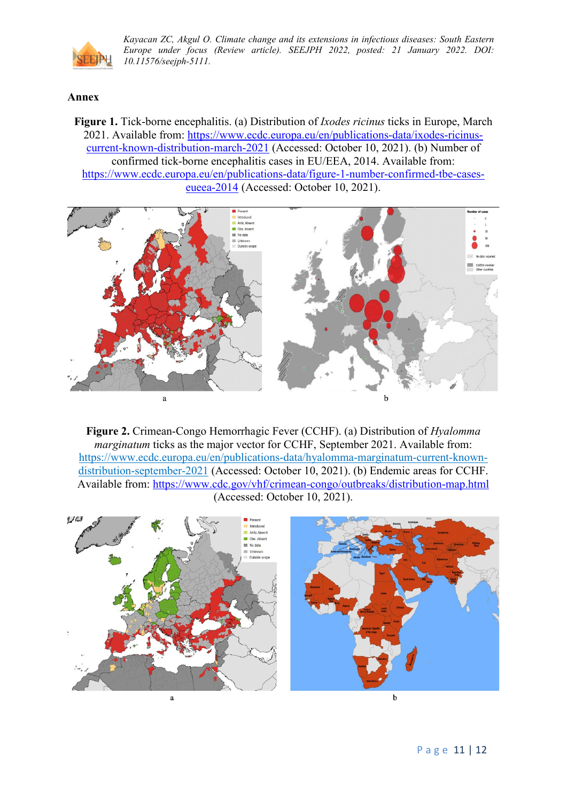

#### **Annex**

**Figure 1.** Tick-borne encephalitis. (a) Distribution of *Ixodes ricinus* ticks in Europe, March 2021. Available from: [https://www.ecdc.europa.eu/en/publications-data/ixodes-ricinus](https://www.ecdc.europa.eu/en/publications-data/ixodes-ricinus-current-known-distribution-march-2021)[current-known-distribution-march-2021](https://www.ecdc.europa.eu/en/publications-data/ixodes-ricinus-current-known-distribution-march-2021) (Accessed: October 10, 2021). (b) Number of confirmed tick-borne encephalitis cases in EU/EEA, 2014. Available from: [https://www.ecdc.europa.eu/en/publications-data/figure-1-number-confirmed-tbe-cases](https://www.ecdc.europa.eu/en/publications-data/figure-1-number-confirmed-tbe-cases-eueea-2014)[eueea-2014](https://www.ecdc.europa.eu/en/publications-data/figure-1-number-confirmed-tbe-cases-eueea-2014) (Accessed: October 10, 2021).



**Figure 2.** Crimean-Congo Hemorrhagic Fever (CCHF). (a) Distribution of *Hyalomma marginatum* ticks as the major vector for CCHF, September 2021. Available from: [https://www.ecdc.europa.eu/en/publications-data/hyalomma-marginatum-current-known](https://www.ecdc.europa.eu/en/publications-data/hyalomma-marginatum-current-known-distribution-september-2021)[distribution-september-2021](https://www.ecdc.europa.eu/en/publications-data/hyalomma-marginatum-current-known-distribution-september-2021) (Accessed: October 10, 2021). (b) Endemic areas for CCHF. Available from:<https://www.cdc.gov/vhf/crimean-congo/outbreaks/distribution-map.html> (Accessed: October 10, 2021).